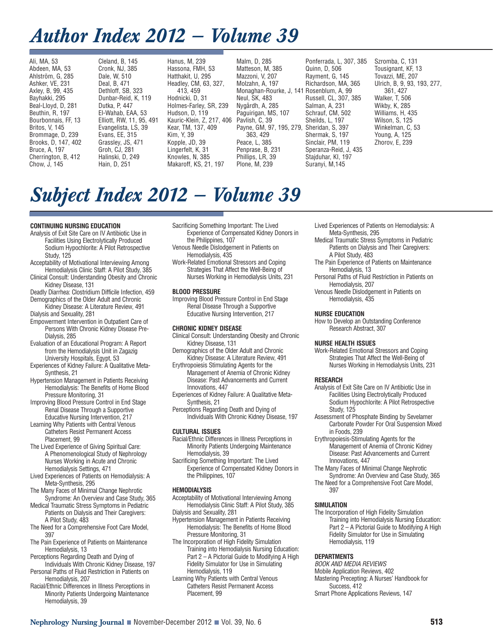## *Author Index 2012 — Volume 39*

Ali, MA, 53 Abdeen, MA, 53 Ahlström, G, 285 Ashker, VE, 231 Axley, B, 99, 435 Bayhakki, 295 Beal-Lloyd, D, 281 Beuthin, R, 197 Bourbonnais, FF, 13 Britos, V, 145 Brommage, D, 239 Brooks, D, 147, 402 Bruce, A, 197 Cherrington, B, 412 Chow, J, 145

Cleland, B, 145 Cronk, NJ, 385 Dale, W, 510 Deal, B, 471 Dethloff, SB, 323 Dunbar-Reid, K, 119 Dutka, P, 447 El-Wahab, EAA, 53 Elliott, RW, 11, 95, 491 Evangelista, LS, 39 Evans, EE, 315 Grassley, JS, 471 Groh, CJ, 281 Halinski, D, 249 Hain, D, 251

Hanus, M, 239 Hassona, FMH, 53 Hatthakit, U, 295 Headley, CM, 63, 327, 413, 459 Hodnicki, D, 31 Holmes-Farley, SR, 239 Hudson, D, 119 Kauric-Klein, Z, 217, 406 Kear, TM, 137, 409 Kim, Y, 39 Kopple, JD, 39 Lingerfelt, K, 31 Knowles, N, 385 Makaroff, KS, 21, 197

Malm, D, 285 Matteson, M, 385 Mazzoni, V, 207 Molzahn, A, 197 Monaghan-Rourke, J, 141 Rosenblum, A, 99 Neul, SK, 483 Nygårdh, A, 285 Paguirigan, MS, 107 Pavlish, C, 39 Payne, GM, 97, 195, 279, 363, 429 Peace, L, 385 Penprase, B, 231 Phillips, LR, 39 Plone, M, 239

Ponferrada, L, 307, 385 Quinn, D, 506 Rayment, G, 145 Richardson, MA, 365 Russell, CL, 307, 385 Salman, A, 231 Schrauf, CM, 502 Sheilds, L, 197 Sheridan, S, 397 Shermak, S, 197 Sinclair, PM, 119 Speranza-Reid, J, 435 Stajduhar, KI, 197 Suranyi, M,145

Szromba, C, 131 Tousignant, KF, 13 Tovazzi, ME, 207 Ulrich, B, 9, 93, 193, 277, 361, 427 Walker, T, 506 Wikby, K, 285 Williams, H, 435 Wilson, S, 125 Winkelman, C, 53 Young, A, 125 Zhorov, E, 239

# *Subject Index 2012 — Volume 39*

#### **CONTINUING NURSING EDUCATION**

- Analysis of Exit Site Care on IV Antibiotic Use in Facilities Using Electrolytically Produced Sodium Hypochlorite: A Pilot Retrospective Study, 125
- Acceptability of Motivational Interviewing Among Hemodialysis Clinic Staff: A Pilot Study, 385 Clinical Consult: Understanding Obesity and Chronic
- Kidney Disease, 131 Deadly Diarrhea: Clostridium Difficile Infection, 459
- Demographics of the Older Adult and Chronic Kidney Disease: A Literature Review, 491
- Dialysis and Sexuality, 281
- Empowerment Intervention in Outpatient Care of Persons With Chronic Kidney Disease Pre-Dialysis, 285
- Evaluation of an Educational Program: A Report from the Hemodialysis Unit in Zagazig University Hospitals, Egypt, 53
- Experiences of Kidney Failure: A Qualitative Meta-Synthesis, 21
- Hypertension Management in Patients Receiving Hemodialysis: The Benefits of Home Blood Pressure Monitoring, 31
- Improving Blood Pressure Control in End Stage Renal Disease Through a Supportive Educative Nursing Intervention, 217
- Learning Why Patients with Central Venous Catheters Resist Permanent Access Placement, 99
- The Lived Experience of Giving Spiritual Care: A Phenomenological Study of Nephrology Nurses Working in Acute and Chronic Hemodialysis Settings, 471
- Lived Experiences of Patients on Hemodialysis: A Meta-Synthesis, 295
- The Many Faces of Minimal Change Nephrotic Syndrome: An Overview and Case Study, 365
- Medical Traumatic Stress Symptoms in Pediatric Patients on Dialysis and Their Caregivers: A Pilot Study, 483
- The Need for a Comprehensive Foot Care Model, 397
- The Pain Experience of Patients on Maintenance Hemodialysis, 13
- Perceptions Regarding Death and Dying of Individuals With Chronic Kidney Disease, 197
- Personal Paths of Fluid Restriction in Patients on Hemodialysis, 207
- Racial/Ethnic Differences in Illness Perceptions in Minority Patients Undergoing Maintenance Hemodialysis, 39
- Sacrificing Something Important: The Lived Experience of Compensated Kidney Donors in the Philippines, 107
- Venous Needle Dislodgement in Patients on Hemodialysis, 435
- Work-Related Emotional Stressors and Coping Strategies That Affect the Well-Being of Nurses Working in Hemodialysis Units, 231

#### **BLOOD PRESSURE**

Improving Blood Pressure Control in End Stage Renal Disease Through a Supportive Educative Nursing Intervention, 217

#### **CHRONIC KIDNEY DISEASE**

- Clinical Consult: Understanding Obesity and Chronic Kidney Disease, 131
- Demographics of the Older Adult and Chronic Kidney Disease: A Literature Review, 491
- Erythropoiesis Stimulating Agents for the Management of Anemia of Chronic Kidney Disease: Past Advancements and Current Innovations, 447
- Experiences of Kidney Failure: A Qualitative Meta-Synthesis, 21

Perceptions Regarding Death and Dying of Individuals With Chronic Kidney Disease, 197

#### **CULTURAL ISSUES**

- Racial/Ethnic Differences in Illness Perceptions in Minority Patients Undergoing Maintenance Hemodialysis, 39
- Sacrificing Something Important: The Lived Experience of Compensated Kidney Donors in the Philippines, 107

#### **HEMODIALYSIS**

- Acceptability of Motivational Interviewing Among Hemodialysis Clinic Staff: A Pilot Study, 385 Dialysis and Sexuality, 281
- Hypertension Management in Patients Receiving Hemodialysis: The Benefits of Home Blood Pressure Monitoring, 31
- The Incorporation of High Fidelity Simulation Training into Hemodialysis Nursing Education: Part 2 – A Pictorial Guide to Modifying A High Fidelity Simulator for Use in Simulating Hemodialysis, 119
- Learning Why Patients with Central Venous Catheters Resist Permanent Access Placement, 99
- Lived Experiences of Patients on Hemodialysis: A Meta-Synthesis, 295
- Medical Traumatic Stress Symptoms in Pediatric Patients on Dialysis and Their Caregivers: A Pilot Study, 483
- The Pain Experience of Patients on Maintenance Hemodialysis, 13
- Personal Paths of Fluid Restriction in Patients on Hemodialysis, 207
- Venous Needle Dislodgement in Patients on Hemodialysis, 435

#### **NURSE EDUCATION**

How to Develop an Outstanding Conference Research Abstract, 307

#### **NURSE HEALTH ISSUES**

Work-Related Emotional Stressors and Coping Strategies That Affect the Well-Being of Nurses Working in Hemodialysis Units, 231

#### **RESEARCH**

- Analysis of Exit Site Care on IV Antibiotic Use in Facilities Using Electrolytically Produced Sodium Hypochlorite: A Pilot Retrospective Study, 125
- Assessment of Phosphate Binding by Sevelamer Carbonate Powder For Oral Suspension Mixed in Foods, 239
- Erythropoiesis-Stimulating Agents for the Management of Anemia of Chronic Kidney Disease: Past Advancements and Current Innovations, 447
- The Many Faces of Minimal Change Nephrotic Syndrome: An Overview and Case Study, 365
- The Need for a Comprehensive Foot Care Model, 397

#### **SIMULATION**

The Incorporation of High Fidelity Simulation Training into Hemodialysis Nursing Education: Part 2 – A Pictorial Guide to Modifying A High Fidelity Simulator for Use in Simulating Hemodialysis, 119

#### **DEPARTMENTS**

BOOK AND MEDIA REVIEWS Mobile Application Reviews, 402 Mastering Precepting: A Nurses' Handbook for Success, 412 Smart Phone Applications Reviews, 147

**Nephrology Nursing Journal ■ November-December 2012 ■ Vol. 39, No. 6 <b>513 513**